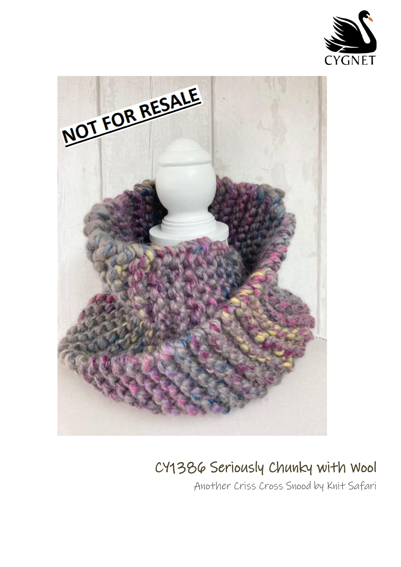



## CY1386 Seriously Chunky with Wool

Another Criss Cross Snood by Knit Safari